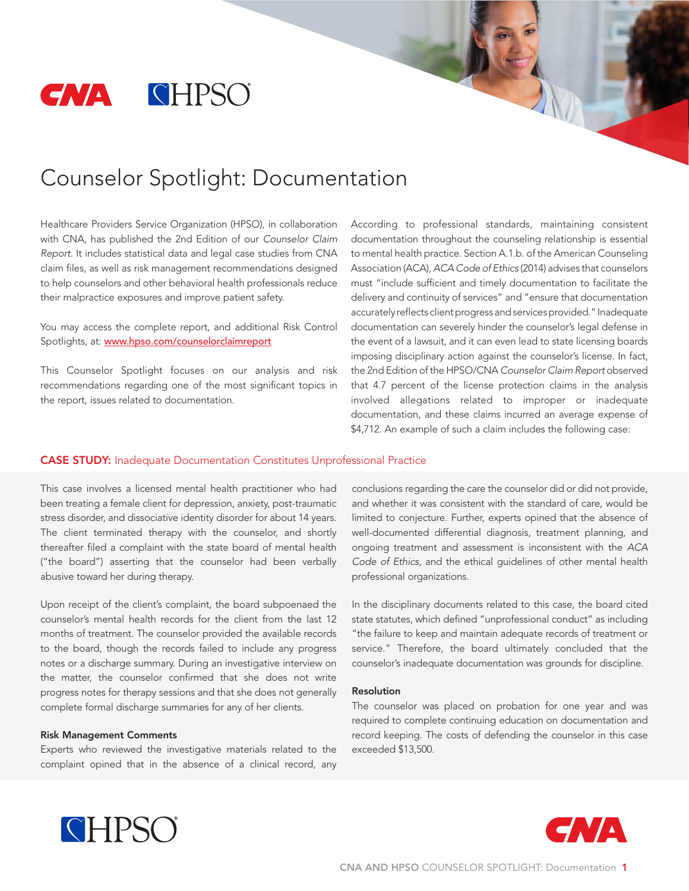

# Counselor Spotlight: Documentation

Healthcare Providers Service Organization (HPSO), in collaboration with CNA, has published the 2nd Edition of our *Counselor Claim Report*. It includes statistical data and legal case studies from CNA claim files, as well as risk management recommendations designed to help counselors and other behavioral health professionals reduce their malpractice exposures and improve patient safety.

You may access the complete report, and additional Risk Control Spotlights, at: www.hpso.com/counselorclaimreport

This Counselor Spotlight focuses on our analysis and risk recommendations regarding one of the most significant topics in the report, issues related to documentation.

According to professional standards, maintaining consistent documentation throughout the counseling relationship is essential to mental health practice. Section A.1.b. of the American Counseling Association (ACA), *ACA Code of Ethics* (2014) advises that counselors must "include sufficient and timely documentation to facilitate the delivery and continuity of services" and "ensure that documentation accurately reflects client progress and services provided." Inadequate documentation can severely hinder the counselor's legal defense in the event of a lawsuit, and it can even lead to state licensing boards imposing disciplinary action against the counselor's license. In fact, the 2nd Edition of the HPSO/CNA *Counselor Claim Report* observed that 4.7 percent of the license protection claims in the analysis involved allegations related to improper or inadequate documentation, and these claims incurred an average expense of \$4,712. An example of such a claim includes the following case:

#### CASE STUDY: Inadequate Documentation Constitutes Unprofessional Practice

This case involves a licensed mental health practitioner who had been treating a female client for depression, anxiety, post-traumatic stress disorder, and dissociative identity disorder for about 14 years. The client terminated therapy with the counselor, and shortly thereafter filed a complaint with the state board of mental health ("the board") asserting that the counselor had been verbally abusive toward her during therapy.

Upon receipt of the client's complaint, the board subpoenaed the counselor's mental health records for the client from the last 12 months of treatment. The counselor provided the available records to the board, though the records failed to include any progress notes or a discharge summary. During an investigative interview on the matter, the counselor confirmed that she does not write progress notes for therapy sessions and that she does not generally complete formal discharge summaries for any of her clients.

#### Risk Management Comments

Experts who reviewed the investigative materials related to the complaint opined that in the absence of a clinical record, any conclusions regarding the care the counselor did or did not provide, and whether it was consistent with the standard of care, would be limited to conjecture. Further, experts opined that the absence of well-documented differential diagnosis, treatment planning, and ongoing treatment and assessment is inconsistent with the *ACA Code of Ethics*, and the ethical guidelines of other mental health professional organizations.

In the disciplinary documents related to this case, the board cited state statutes, which defined "unprofessional conduct" as including "the failure to keep and maintain adequate records of treatment or service." Therefore, the board ultimately concluded that the counselor's inadequate documentation was grounds for discipline.

### Resolution

The counselor was placed on probation for one year and was required to complete continuing education on documentation and record keeping. The costs of defending the counselor in this case exceeded \$13,500.



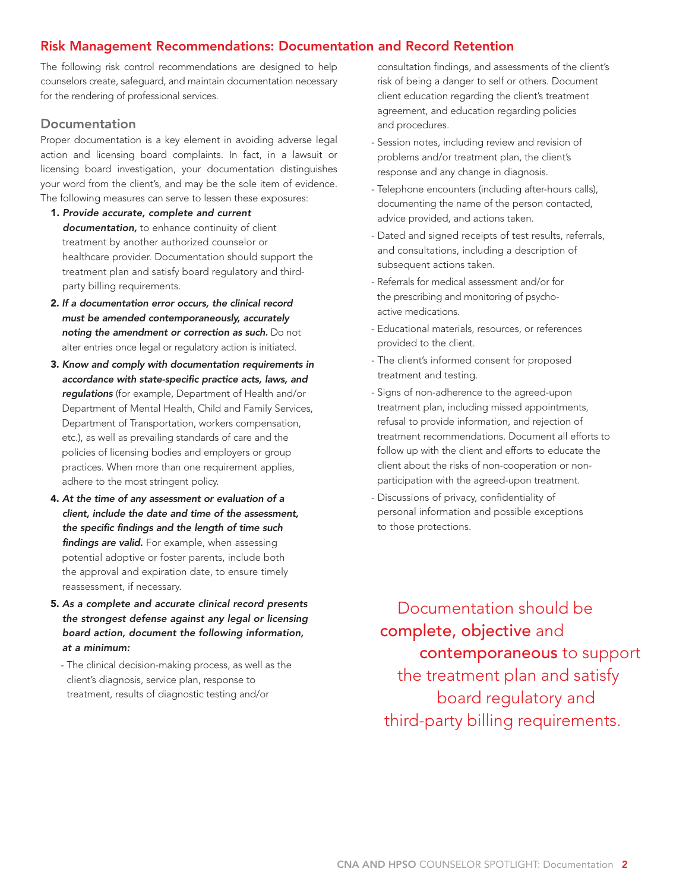# Risk Management Recommendations: Documentation and Record Retention

The following risk control recommendations are designed to help counselors create, safeguard, and maintain documentation necessary for the rendering of professional services.

### **Documentation**

Proper documentation is a key element in avoiding adverse legal action and licensing board complaints. In fact, in a lawsuit or licensing board investigation, your documentation distinguishes your word from the client's, and may be the sole item of evidence. The following measures can serve to lessen these exposures:

- 1. *Provide accurate, complete and current documentation,* to enhance continuity of client treatment by another authorized counselor or healthcare provider. Documentation should support the treatment plan and satisfy board regulatory and thirdparty billing requirements.
- 2. *If a documentation error occurs, the clinical record must be amended contemporaneously, accurately noting the amendment or correction as such.* Do not alter entries once legal or regulatory action is initiated.
- 3. *Know and comply with documentation requirements in accordance with state-specific practice acts, laws, and regulations* (for example, Department of Health and/or Department of Mental Health, Child and Family Services, Department of Transportation, workers compensation, etc.), as well as prevailing standards of care and the policies of licensing bodies and employers or group practices. When more than one requirement applies, adhere to the most stringent policy.
- 4. *At the time of any assessment or evaluation of a client, include the date and time of the assessment, the specific findings and the length of time such findings are valid.* For example, when assessing potential adoptive or foster parents, include both the approval and expiration date, to ensure timely reassessment, if necessary.
- 5. *As a complete and accurate clinical record presents the strongest defense against any legal or licensing board action, document the following information, at a minimum:* 
	- The clinical decision-making process, as well as the client's diagnosis, service plan, response to treatment, results of diagnostic testing and/or

consultation findings, and assessments of the client's risk of being a danger to self or others. Document client education regarding the client's treatment agreement, and education regarding policies and procedures.

- Session notes, including review and revision of problems and/or treatment plan, the client's response and any change in diagnosis.
- Telephone encounters (including after-hours calls), documenting the name of the person contacted, advice provided, and actions taken.
- Dated and signed receipts of test results, referrals, and consultations, including a description of subsequent actions taken.
- Referrals for medical assessment and/or for the prescribing and monitoring of psychoactive medications.
- Educational materials, resources, or references provided to the client.
- The client's informed consent for proposed treatment and testing.
- Signs of non-adherence to the agreed-upon treatment plan, including missed appointments, refusal to provide information, and rejection of treatment recommendations. Document all efforts to follow up with the client and efforts to educate the client about the risks of non-cooperation or nonparticipation with the agreed-upon treatment.
- Discussions of privacy, confidentiality of personal information and possible exceptions to those protections.

 Documentation should be complete, objective and contemporaneous to support the treatment plan and satisfy board regulatory and third-party billing requirements.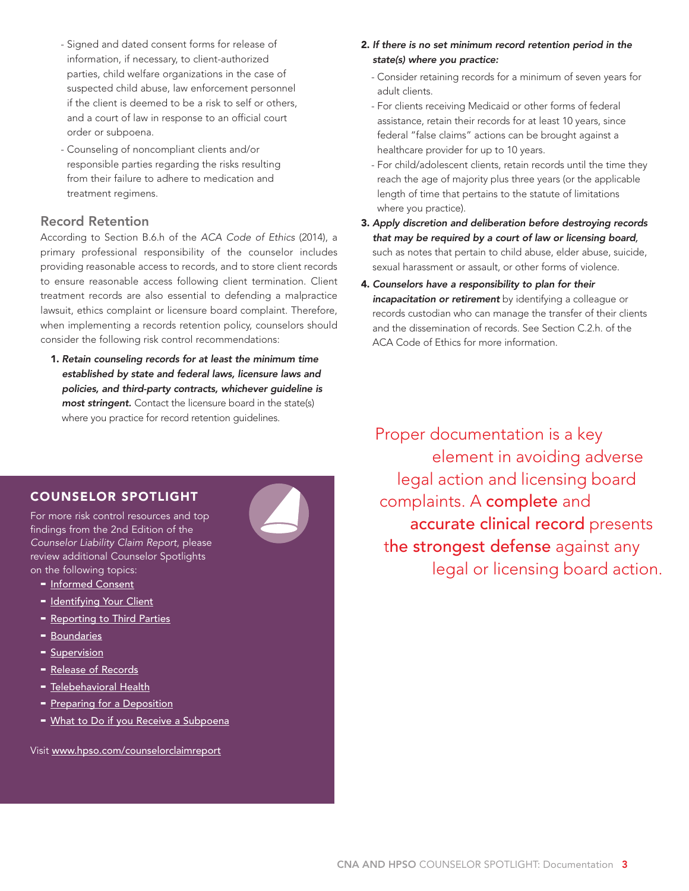- Signed and dated consent forms for release of information, if necessary, to client-authorized parties, child welfare organizations in the case of suspected child abuse, law enforcement personnel if the client is deemed to be a risk to self or others, and a court of law in response to an official court order or subpoena.
- Counseling of noncompliant clients and/or responsible parties regarding the risks resulting from their failure to adhere to medication and treatment regimens.

### Record Retention

According to Section B.6.h of the *ACA Code of Ethics* (2014), a primary professional responsibility of the counselor includes providing reasonable access to records, and to store client records to ensure reasonable access following client termination. Client treatment records are also essential to defending a malpractice lawsuit, ethics complaint or licensure board complaint. Therefore, when implementing a records retention policy, counselors should consider the following risk control recommendations:

1. *Retain counseling records for at least the minimum time established by state and federal laws, licensure laws and policies, and third-party contracts, whichever guideline is most stringent.* Contact the licensure board in the state(s) where you practice for record retention guidelines.

- 2. *If there is no set minimum record retention period in the state(s) where you practice:*
	- Consider retaining records for a minimum of seven years for adult clients.
	- For clients receiving Medicaid or other forms of federal assistance, retain their records for at least 10 years, since federal "false claims" actions can be brought against a healthcare provider for up to 10 years.
	- For child/adolescent clients, retain records until the time they reach the age of majority plus three years (or the applicable length of time that pertains to the statute of limitations where you practice).
- 3. *Apply discretion and deliberation before destroying records that may be required by a court of law or licensing board,* such as notes that pertain to child abuse, elder abuse, suicide, sexual harassment or assault, or other forms of violence.
- 4. *Counselors have a responsibility to plan for their incapacitation or retirement* by identifying a colleague or records custodian who can manage the transfer of their clients and the dissemination of records. See Section C.2.h. of the ACA Code of Ethics for more information.

Proper documentation is a key element in avoiding adverse legal action and licensing board complaints. A complete and accurate clinical record presents the strongest defense against any legal or licensing board action.

## COUNSELOR SPOTLIGHT

For more risk control resources and top findings from the 2nd Edition of the *Counselor Liability Claim Report*, please review additional Counselor Spotlights on the following topics:

- [Informed Consent](http://www.hpso.com/counselorclaimreport_informedconsent)
- [Identifying Your Client](http://www.hpso.com/counselorclaimreport_client)
- [Reporting to Third Parties](http://www.hpso.com/counselorclaimreport_thirdparties)
- [Boundaries](http://www.hpso.com/counselorclaimreport_boundaries)
- **[Supervision](http://www.hpso.com/counselorclaimreport_supervision)**
- [Release of Records](http://www.hpso.com/counselorclaimreport_records)
- [Telebehavioral Health](http://www.hpso.com/counselorclaimreport_telebehavioralhealth)
- [Preparing for a Deposition](http://www.hpso.com/counselorclaimreport_preparedepo)
- [What to Do if you Receive a Subpoena](http://www.hpso.com/counselorclaimreport_subpoena)

Visit [www.hpso.com/counselorclaimreport](http://www.hpso.com/counselorclaimreport)

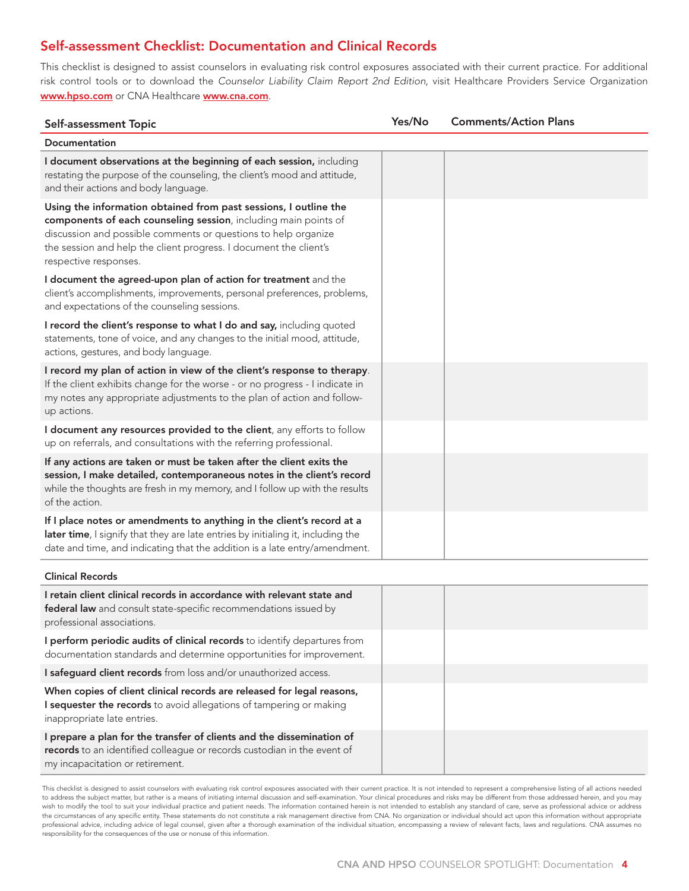# Self-assessment Checklist: Documentation and Clinical Records

This checklist is designed to assist counselors in evaluating risk control exposures associated with their current practice. For additional risk control tools or to download the *Counselor Liability Claim Report 2nd Edition*, visit Healthcare Providers Service Organization www.hpso.com or CNA Healthcare www.cna.com.

| Self-assessment Topic                                                                                                                                                                                                                                                                               | Yes/No | <b>Comments/Action Plans</b> |
|-----------------------------------------------------------------------------------------------------------------------------------------------------------------------------------------------------------------------------------------------------------------------------------------------------|--------|------------------------------|
| Documentation                                                                                                                                                                                                                                                                                       |        |                              |
| I document observations at the beginning of each session, including<br>restating the purpose of the counseling, the client's mood and attitude,<br>and their actions and body language.                                                                                                             |        |                              |
| Using the information obtained from past sessions, I outline the<br>components of each counseling session, including main points of<br>discussion and possible comments or questions to help organize<br>the session and help the client progress. I document the client's<br>respective responses. |        |                              |
| I document the agreed-upon plan of action for treatment and the<br>client's accomplishments, improvements, personal preferences, problems,<br>and expectations of the counseling sessions.                                                                                                          |        |                              |
| I record the client's response to what I do and say, including quoted<br>statements, tone of voice, and any changes to the initial mood, attitude,<br>actions, gestures, and body language.                                                                                                         |        |                              |
| I record my plan of action in view of the client's response to therapy.<br>If the client exhibits change for the worse - or no progress - I indicate in<br>my notes any appropriate adjustments to the plan of action and follow-<br>up actions.                                                    |        |                              |
| I document any resources provided to the client, any efforts to follow<br>up on referrals, and consultations with the referring professional.                                                                                                                                                       |        |                              |
| If any actions are taken or must be taken after the client exits the<br>session, I make detailed, contemporaneous notes in the client's record<br>while the thoughts are fresh in my memory, and I follow up with the results<br>of the action.                                                     |        |                              |
| If I place notes or amendments to anything in the client's record at a<br>later time, I signify that they are late entries by initialing it, including the<br>date and time, and indicating that the addition is a late entry/amendment.                                                            |        |                              |
| <b>Clinical Records</b>                                                                                                                                                                                                                                                                             |        |                              |

| I retain client clinical records in accordance with relevant state and<br><b>federal law</b> and consult state-specific recommendations issued by<br>professional associations.      |  |
|--------------------------------------------------------------------------------------------------------------------------------------------------------------------------------------|--|
| I perform periodic audits of clinical records to identify departures from<br>documentation standards and determine opportunities for improvement.                                    |  |
| <b>I safeguard client records</b> from loss and/or unauthorized access.                                                                                                              |  |
| When copies of client clinical records are released for legal reasons,<br>I sequester the records to avoid allegations of tampering or making<br>inappropriate late entries.         |  |
| I prepare a plan for the transfer of clients and the dissemination of<br>records to an identified colleague or records custodian in the event of<br>my incapacitation or retirement. |  |

This checklist is designed to assist counselors with evaluating risk control exposures associated with their current practice. It is not intended to represent a comprehensive listing of all actions needed to address the subject matter, but rather is a means of initiating internal discussion and self-examination. Your clinical procedures and risks may be different from those addressed herein, and you may wish to modify the tool to suit your individual practice and patient needs. The information contained herein is not intended to establish any standard of care, serve as professional advice or address the circumstances of any specific entity. These statements do not constitute a risk management directive from CNA. No organization or individual should act upon this information without appropriate professional advice, including advice of legal counsel, given after a thorough examination of the individual situation, encompassing a review of relevant facts, laws and regulations. CNA assumes no responsibility for the consequences of the use or nonuse of this information.